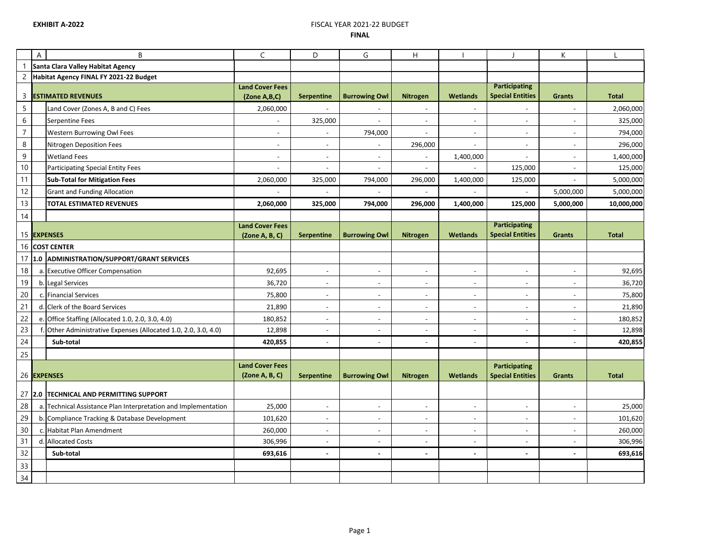## **EXHIBIT A-2022 EXHIBIT A-2022 FINAL**

|                 | A | B                                                               | $\mathsf{C}$           | D                        | G                        | H                                          |                                                      |                                                 | K                                          |                    |
|-----------------|---|-----------------------------------------------------------------|------------------------|--------------------------|--------------------------|--------------------------------------------|------------------------------------------------------|-------------------------------------------------|--------------------------------------------|--------------------|
|                 |   | Santa Clara Valley Habitat Agency                               |                        |                          |                          |                                            |                                                      |                                                 |                                            |                    |
| $\overline{c}$  |   | Habitat Agency FINAL FY 2021-22 Budget                          |                        |                          |                          |                                            |                                                      |                                                 |                                            |                    |
| 3               |   | <b>ESTIMATED REVENUES</b>                                       | <b>Land Cover Fees</b> |                          | <b>Burrowing Owl</b>     | <b>Nitrogen</b>                            | <b>Wetlands</b>                                      | <b>Participating</b><br><b>Special Entities</b> | <b>Grants</b>                              | <b>Total</b>       |
|                 |   |                                                                 | (Zone A,B,C)           | <b>Serpentine</b>        |                          |                                            |                                                      |                                                 |                                            |                    |
| 5<br>$6\,$      |   | Land Cover (Zones A, B and C) Fees                              | 2,060,000              |                          |                          |                                            |                                                      |                                                 | $\overline{\phantom{a}}$<br>$\blacksquare$ | 2,060,000          |
| $\overline{7}$  |   | <b>Serpentine Fees</b><br>Western Burrowing Owl Fees            |                        | 325,000                  | 794,000                  | $\overline{\phantom{a}}$<br>$\blacksquare$ | $\overline{\phantom{a}}$<br>$\overline{\phantom{a}}$ | $\overline{\phantom{a}}$                        | $\overline{\phantom{a}}$                   | 325,000            |
| 8               |   | <b>Nitrogen Deposition Fees</b>                                 | $\sim$                 | $\overline{\phantom{a}}$ | $\sim$                   | 296,000                                    |                                                      |                                                 | $\overline{\phantom{a}}$                   | 794,000<br>296,000 |
| 9               |   | <b>Wetland Fees</b>                                             |                        | $\overline{\phantom{a}}$ |                          |                                            | $\overline{\phantom{a}}$                             | $\overline{\phantom{a}}$                        | $\overline{\phantom{a}}$                   | 1,400,000          |
| $10\,$          |   | <b>Participating Special Entity Fees</b>                        |                        | $\overline{\phantom{a}}$ |                          |                                            | 1,400,000                                            | 125,000                                         | $\blacksquare$                             | 125,000            |
| 11              |   | <b>Sub-Total for Mitigation Fees</b>                            | 2,060,000              | 325,000                  | 794,000                  | 296,000                                    | 1,400,000                                            | 125,000                                         | $\overline{\phantom{a}}$                   | 5,000,000          |
| 12              |   | <b>Grant and Funding Allocation</b>                             |                        |                          |                          |                                            |                                                      |                                                 | 5,000,000                                  | 5,000,000          |
| 13              |   | <b>TOTAL ESTIMATED REVENUES</b>                                 | 2,060,000              | 325,000                  | 794,000                  | 296,000                                    | 1,400,000                                            | 125,000                                         | 5,000,000                                  | 10,000,000         |
| 14              |   |                                                                 |                        |                          |                          |                                            |                                                      |                                                 |                                            |                    |
|                 |   |                                                                 | <b>Land Cover Fees</b> |                          |                          |                                            |                                                      | <b>Participating</b>                            |                                            |                    |
|                 |   | 15 EXPENSES                                                     | (Zone A, B, C)         | <b>Serpentine</b>        | <b>Burrowing Owl</b>     | <b>Nitrogen</b>                            | <b>Wetlands</b>                                      | <b>Special Entities</b>                         | <b>Grants</b>                              | <b>Total</b>       |
|                 |   | 16 COST CENTER                                                  |                        |                          |                          |                                            |                                                      |                                                 |                                            |                    |
|                 |   | 17 1.0 ADMINISTRATION/SUPPORT/GRANT SERVICES                    |                        |                          |                          |                                            |                                                      |                                                 |                                            |                    |
| 18              |   | a. Executive Officer Compensation                               | 92,695                 | $\overline{\phantom{a}}$ | $\overline{\phantom{a}}$ | $\overline{\phantom{a}}$                   | $\overline{\phantom{a}}$                             | $\overline{\phantom{a}}$                        | $\sim$                                     | 92,695             |
| 19              |   | b. Legal Services                                               | 36,720                 | $\overline{\phantom{a}}$ |                          | $\overline{\phantom{a}}$                   | $\overline{\phantom{a}}$                             |                                                 | $\overline{\phantom{a}}$                   | 36,720             |
| 20              |   | c. Financial Services                                           | 75,800                 | $\overline{\phantom{a}}$ | $\overline{\phantom{a}}$ | $\overline{\phantom{a}}$                   | $\overline{\phantom{a}}$                             | $\overline{\phantom{a}}$                        | $\overline{\phantom{a}}$                   | 75,800             |
| 21              |   | d. Clerk of the Board Services                                  | 21,890                 | $\overline{\phantom{a}}$ |                          | -                                          | $\overline{\phantom{a}}$                             |                                                 | $\overline{\phantom{a}}$                   | 21,890             |
| 22              |   | e. Office Staffing (Allocated 1.0, 2.0, 3.0, 4.0)               | 180,852                | $\overline{\phantom{a}}$ | $\overline{\phantom{a}}$ | $\overline{\phantom{a}}$                   | $\overline{\phantom{a}}$                             | $\overline{\phantom{a}}$                        | $\overline{\phantom{a}}$                   | 180,852            |
| 23              |   | f. Other Administrative Expenses (Allocated 1.0, 2.0, 3.0, 4.0) | 12,898                 | $\blacksquare$           | $\sim$                   | $\blacksquare$                             | $\blacksquare$                                       |                                                 | $\blacksquare$                             | 12,898             |
| 24              |   | Sub-total                                                       | 420,855                | $\overline{\phantom{a}}$ | $\overline{\phantom{a}}$ | $\overline{\phantom{a}}$                   | $\overline{\phantom{a}}$                             | $\overline{\phantom{a}}$                        | $\blacksquare$                             | 420,855            |
| 25              |   |                                                                 |                        |                          |                          |                                            |                                                      |                                                 |                                            |                    |
|                 |   |                                                                 | <b>Land Cover Fees</b> |                          |                          |                                            |                                                      | <b>Participating</b>                            |                                            |                    |
|                 |   | 26 EXPENSES                                                     | (Zone A, B, C)         | <b>Serpentine</b>        | <b>Burrowing Owl</b>     | <b>Nitrogen</b>                            | <b>Wetlands</b>                                      | <b>Special Entities</b>                         | <b>Grants</b>                              | <b>Total</b>       |
|                 |   | 27 2.0 TECHNICAL AND PERMITTING SUPPORT                         |                        |                          |                          |                                            |                                                      |                                                 |                                            |                    |
| 28              |   | a. Technical Assistance Plan Interpretation and Implementation  | 25,000                 | $\overline{\phantom{a}}$ | $\sim$                   | $\overline{\phantom{a}}$                   | $\overline{\phantom{a}}$                             | $\overline{\phantom{a}}$                        | $\sim$                                     | 25,000             |
| 29              |   | b. Compliance Tracking & Database Development                   | 101,620                | $\overline{\phantom{a}}$ |                          | $\overline{\phantom{a}}$                   | $\overline{\phantom{a}}$                             |                                                 | $\overline{\phantom{a}}$                   | 101,620            |
| 30 <sup>°</sup> |   | c. Habitat Plan Amendment                                       | 260,000                | $\overline{\phantom{a}}$ | $\overline{\phantom{a}}$ | $\overline{\phantom{a}}$                   | $\overline{\phantom{a}}$                             | $\overline{\phantom{a}}$                        | $\overline{\phantom{a}}$                   | 260,000            |
| 31              |   | d. Allocated Costs                                              | 306,996                | $\overline{\phantom{a}}$ | $\overline{\phantom{a}}$ | $\overline{\phantom{a}}$                   | $\overline{\phantom{a}}$                             |                                                 | $\sim$                                     | 306,996            |
| 32              |   | Sub-total                                                       | 693,616                | $\blacksquare$           | $\blacksquare$           | $\blacksquare$                             | $\overline{\phantom{a}}$                             | $\overline{\phantom{a}}$                        | $\blacksquare$                             | 693,616            |
| 33              |   |                                                                 |                        |                          |                          |                                            |                                                      |                                                 |                                            |                    |
| 34              |   |                                                                 |                        |                          |                          |                                            |                                                      |                                                 |                                            |                    |